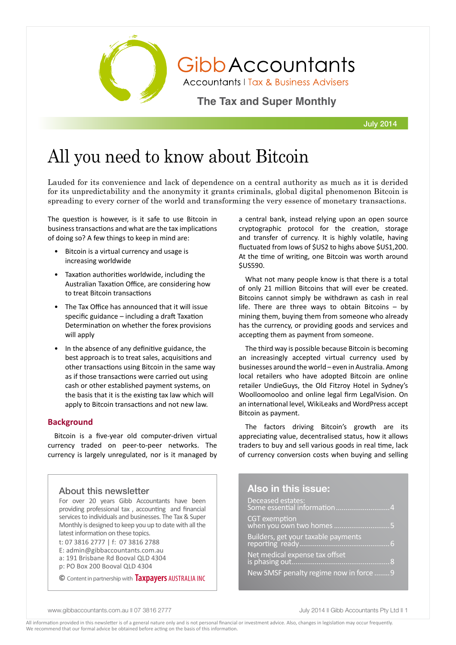

GibbAccountants

**Accountants | Tax & Business Advisers** 

**The Tax and Super Monthly** 

July 2014

# All you need to know about Bitcoin

Lauded for its convenience and lack of dependence on a central authority as much as it is derided for its unpredictability and the anonymity it grants criminals, global digital phenomenon Bitcoin is spreading to every corner of the world and transforming the very essence of monetary transactions.

The question is however, is it safe to use Bitcoin in business transactions and what are the tax implications of doing so? A few things to keep in mind are:

- Bitcoin is a virtual currency and usage is increasing worldwide
- Taxation authorities worldwide, including the Australian Taxation Office, are considering how to treat Bitcoin transactions
- The Tax Office has announced that it will issue specific guidance – including a draft Taxation Determination on whether the forex provisions will apply
- In the absence of any definitive guidance, the best approach is to treat sales, acquisitions and other transactions using Bitcoin in the same way as if those transactions were carried out using cash or other established payment systems, on the basis that it is the existing tax law which will apply to Bitcoin transactions and not new law.

## **Background**

Bitcoin is a five-year old computer-driven virtual currency traded on peer-to-peer networks. The currency is largely unregulated, nor is it managed by

# About this newsletter

For over 20 years Gibb Accountants have been providing professional tax , accounting and financial services to individuals and businesses. The Tax & Super Monthly is designed to keep you up to date with all the latest information on these topics.

t: 07 3816 2777 | f: 07 3816 2788

- E: admin@gibbaccountants.com.au a: 191 Brisbane Rd Booval QLD 4304
- p: PO Box 200 Booval QLD 4304

© Content in partnership with **Taxpayers** Australia Inc

a central bank, instead relying upon an open source cryptographic protocol for the creation, storage and transfer of currency. It is highly volatile, having fluctuated from lows of \$US2 to highs above \$US1,200. At the time of writing, one Bitcoin was worth around \$US590.

What not many people know is that there is a total of only 21 million Bitcoins that will ever be created. Bitcoins cannot simply be withdrawn as cash in real life. There are three ways to obtain Bitcoins – by mining them, buying them from someone who already has the currency, or providing goods and services and accepting them as payment from someone.

The third way is possible because Bitcoin is becoming an increasingly accepted virtual currency used by businesses around the world – even in Australia. Among local retailers who have adopted Bitcoin are online retailer UndieGuys, the Old Fitzroy Hotel in Sydney's Woolloomooloo and online legal firm LegalVision. On an international level, WikiLeaks and WordPress accept Bitcoin as payment.

The factors driving Bitcoin's growth are its appreciating value, decentralised status, how it allows traders to buy and sell various goods in real time, lack of currency conversion costs when buying and selling

## **Also in this issue:**

| Deceased estates:<br>Some essential information4 |
|--------------------------------------------------|
| CGT exemption<br>when you own two homes 5        |
| Builders, get your taxable payments              |
| Net medical expense tax offset                   |
| New SMSF penalty regime now in force 9           |

www.gibbaccountants.com.au n 07 3816 2777 July 2014 n Gibb Accountants Pty Ltd n 1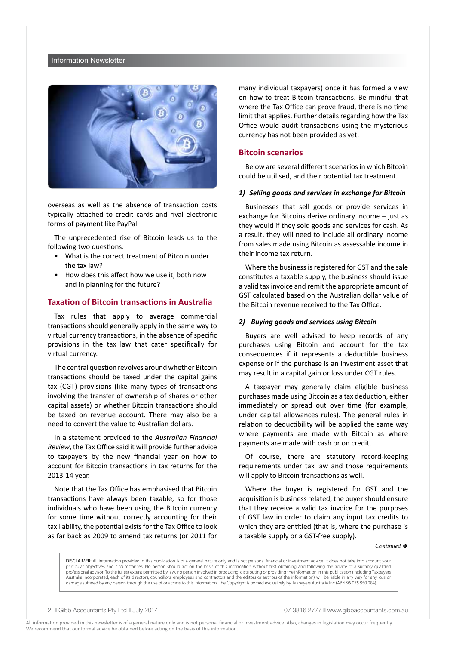#### Information Newsletter



overseas as well as the absence of transaction costs typically attached to credit cards and rival electronic forms of payment like PayPal.

The unprecedented rise of Bitcoin leads us to the following two questions:

- What is the correct treatment of Bitcoin under the tax law?
- How does this affect how we use it, both now and in planning for the future?

#### **Taxation of Bitcoin transactions in Australia**

Tax rules that apply to average commercial transactions should generally apply in the same way to virtual currency transactions, in the absence of specific provisions in the tax law that cater specifically for virtual currency.

The central question revolves around whether Bitcoin transactions should be taxed under the capital gains tax (CGT) provisions (like many types of transactions involving the transfer of ownership of shares or other capital assets) or whether Bitcoin transactions should be taxed on revenue account. There may also be a need to convert the value to Australian dollars.

In a statement provided to the *Australian Financial Review*, the Tax Office said it will provide further advice to taxpayers by the new financial year on how to account for Bitcoin transactions in tax returns for the 2013-14 year.

Note that the Tax Office has emphasised that Bitcoin transactions have always been taxable, so for those individuals who have been using the Bitcoin currency for some time without correctly accounting for their tax liability, the potential exists for the Tax Office to look as far back as 2009 to amend tax returns (or 2011 for many individual taxpayers) once it has formed a view on how to treat Bitcoin transactions. Be mindful that where the Tax Office can prove fraud, there is no time limit that applies. Further details regarding how the Tax Office would audit transactions using the mysterious currency has not been provided as yet.

### **Bitcoin scenarios**

Below are several different scenarios in which Bitcoin could be utilised, and their potential tax treatment.

#### *1) Selling goods and services in exchange for Bitcoin*

Businesses that sell goods or provide services in exchange for Bitcoins derive ordinary income – just as they would if they sold goods and services for cash. As a result, they will need to include all ordinary income from sales made using Bitcoin as assessable income in their income tax return.

Where the business is registered for GST and the sale constitutes a taxable supply, the business should issue a valid tax invoice and remit the appropriate amount of GST calculated based on the Australian dollar value of the Bitcoin revenue received to the Tax Office.

#### *2) Buying goods and services using Bitcoin*

Buyers are well advised to keep records of any purchases using Bitcoin and account for the tax consequences if it represents a deductible business expense or if the purchase is an investment asset that may result in a capital gain or loss under CGT rules.

A taxpayer may generally claim eligible business purchases made using Bitcoin as a tax deduction, either immediately or spread out over time (for example, under capital allowances rules). The general rules in relation to deductibility will be applied the same way where payments are made with Bitcoin as where payments are made with cash or on credit.

Of course, there are statutory record-keeping requirements under tax law and those requirements will apply to Bitcoin transactions as well.

Where the buyer is registered for GST and the acquisition is business related, the buyer should ensure that they receive a valid tax invoice for the purposes of GST law in order to claim any input tax credits to which they are entitled (that is, where the purchase is a taxable supply or a GST-free supply).

 $Continued \rightarrow$ 

DISCLAIMER: All information provided in this publication is of a general nature only and is not personal financial or investment advice. It does not take into account your particular objectives and circumstances. No person should act on the basis of this information without first obtaining and following the advice of a suitably qualified professional advisor. To the fullest extent permitted by law, no person involved in producing, distributing or providing the information in this publication (including Taxpayers Australia Incorporated, each of its directors, councillors, employees and contractors and the editors or authors of the information) will be liable in any way for any loss or damage suffered by any person through the use of or access to this information. The Copyright is owned exclusively by Taxpayers Australia Inc (ABN 96 075 950 284).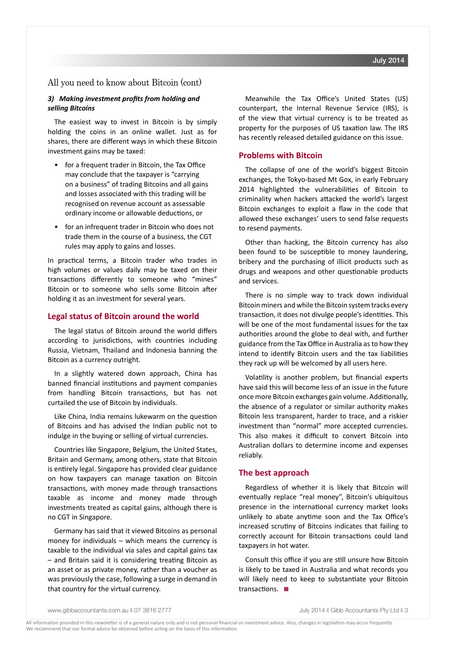## All you need to know about Bitcoin (cont)

### *3) Making investment profits from holding and selling Bitcoins*

The easiest way to invest in Bitcoin is by simply holding the coins in an online wallet. Just as for shares, there are different ways in which these Bitcoin investment gains may be taxed:

- for a frequent trader in Bitcoin, the Tax Office may conclude that the taxpayer is "carrying on a business" of trading Bitcoins and all gains and losses associated with this trading will be recognised on revenue account as assessable ordinary income or allowable deductions, or
- for an infrequent trader in Bitcoin who does not trade them in the course of a business, the CGT rules may apply to gains and losses.

In practical terms, a Bitcoin trader who trades in high volumes or values daily may be taxed on their transactions differently to someone who "mines" Bitcoin or to someone who sells some Bitcoin after holding it as an investment for several years.

## **Legal status of Bitcoin around the world**

The legal status of Bitcoin around the world differs according to jurisdictions, with countries including Russia, Vietnam, Thailand and Indonesia banning the Bitcoin as a currency outright.

In a slightly watered down approach, China has banned financial institutions and payment companies from handling Bitcoin transactions, but has not curtailed the use of Bitcoin by individuals.

Like China, India remains lukewarm on the question of Bitcoins and has advised the Indian public not to indulge in the buying or selling of virtual currencies.

Countries like Singapore, Belgium, the United States, Britain and Germany, among others, state that Bitcoin is entirely legal. Singapore has provided clear guidance on how taxpayers can manage taxation on Bitcoin transactions, with money made through transactions taxable as income and money made through investments treated as capital gains, although there is no CGT in Singapore.

Germany has said that it viewed Bitcoins as personal money for individuals – which means the currency is taxable to the individual via sales and capital gains tax – and Britain said it is considering treating Bitcoin as an asset or as private money, rather than a voucher as was previously the case, following a surge in demand in that country for the virtual currency.

Meanwhile the Tax Office's United States (US) counterpart, the Internal Revenue Service (IRS), is of the view that virtual currency is to be treated as property for the purposes of US taxation law. The IRS has recently released detailed guidance on this issue.

## **Problems with Bitcoin**

The collapse of one of the world's biggest Bitcoin exchanges, the Tokyo-based Mt Gox, in early February 2014 highlighted the vulnerabilities of Bitcoin to criminality when hackers attacked the world's largest Bitcoin exchanges to exploit a flaw in the code that allowed these exchanges' users to send false requests to resend payments.

Other than hacking, the Bitcoin currency has also been found to be susceptible to money laundering, bribery and the purchasing of illicit products such as drugs and weapons and other questionable products and services.

There is no simple way to track down individual Bitcoin miners and while the Bitcoin system tracks every transaction, it does not divulge people's identities. This will be one of the most fundamental issues for the tax authorities around the globe to deal with, and further guidance from the Tax Office in Australia as to how they intend to identify Bitcoin users and the tax liabilities they rack up will be welcomed by all users here.

Volatility is another problem, but financial experts have said this will become less of an issue in the future once more Bitcoin exchanges gain volume. Additionally, the absence of a regulator or similar authority makes Bitcoin less transparent, harder to trace, and a riskier investment than "normal" more accepted currencies. This also makes it difficult to convert Bitcoin into Australian dollars to determine income and expenses reliably.

## **The best approach**

Regardless of whether it is likely that Bitcoin will eventually replace "real money", Bitcoin's ubiquitous presence in the international currency market looks unlikely to abate anytime soon and the Tax Office's increased scrutiny of Bitcoins indicates that failing to correctly account for Bitcoin transactions could land taxpayers in hot water.

Consult this office if you are still unsure how Bitcoin is likely to be taxed in Australia and what records you will likely need to keep to substantiate your Bitcoin transactions.  $\blacksquare$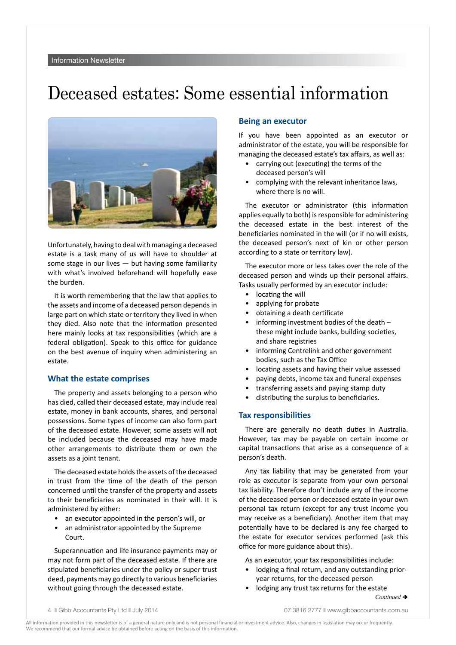# Deceased estates: Some essential information



Unfortunately, having to deal with managing a deceased estate is a task many of us will have to shoulder at some stage in our lives — but having some familiarity with what's involved beforehand will hopefully ease the burden.

It is worth remembering that the law that applies to the assets and income of a deceased person depends in large part on which state or territory they lived in when they died. Also note that the information presented here mainly looks at tax responsibilities (which are a federal obligation). Speak to this office for guidance on the best avenue of inquiry when administering an estate.

## **What the estate comprises**

The property and assets belonging to a person who has died, called their deceased estate, may include real estate, money in bank accounts, shares, and personal possessions. Some types of income can also form part of the deceased estate. However, some assets will not be included because the deceased may have made other arrangements to distribute them or own the assets as a joint tenant.

The deceased estate holds the assets of the deceased in trust from the time of the death of the person concerned until the transfer of the property and assets to their beneficiaries as nominated in their will. It is administered by either:

- an executor appointed in the person's will, or
- an administrator appointed by the Supreme Court.

Superannuation and life insurance payments may or may not form part of the deceased estate. If there are stipulated beneficiaries under the policy or super trust deed, payments may go directly to various beneficiaries without going through the deceased estate.

## **Being an executor**

If you have been appointed as an executor or administrator of the estate, you will be responsible for managing the deceased estate's tax affairs, as well as:

- carrying out (executing) the terms of the deceased person's will
- complying with the relevant inheritance laws, where there is no will.

The executor or administrator (this information applies equally to both) is responsible for administering the deceased estate in the best interest of the beneficiaries nominated in the will (or if no will exists, the deceased person's next of kin or other person according to a state or territory law).

The executor more or less takes over the role of the deceased person and winds up their personal affairs. Tasks usually performed by an executor include:

- locating the will
- applying for probate
- obtaining a death certificate
- informing investment bodies of the death these might include banks, building societies, and share registries
- informing Centrelink and other government bodies, such as the Tax Office
- locating assets and having their value assessed
- paying debts, income tax and funeral expenses
- transferring assets and paying stamp duty
- distributing the surplus to beneficiaries.

#### **Tax responsibilities**

There are generally no death duties in Australia. However, tax may be payable on certain income or capital transactions that arise as a consequence of a person's death.

Any tax liability that may be generated from your role as executor is separate from your own personal tax liability. Therefore don't include any of the income of the deceased person or deceased estate in your own personal tax return (except for any trust income you may receive as a beneficiary). Another item that may potentially have to be declared is any fee charged to the estate for executor services performed (ask this office for more guidance about this).

As an executor, your tax responsibilities include:

- lodging a final return, and any outstanding prioryear returns, for the deceased person
- lodging any trust tax returns for the estate *Continued* →

4 **|| Gibb Accountants Pty Ltd || July 2014 07 3816 2777 || www.gibbaccountants.com.au**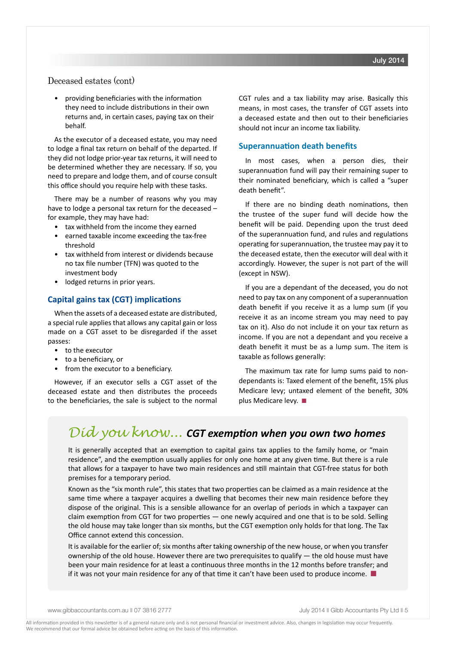# Deceased estates (cont)

• providing beneficiaries with the information they need to include distributions in their own returns and, in certain cases, paying tax on their behalf.

As the executor of a deceased estate, you may need to lodge a final tax return on behalf of the departed. If they did not lodge prior-year tax returns, it will need to be determined whether they are necessary. If so, you need to prepare and lodge them, and of course consult this office should you require help with these tasks.

There may be a number of reasons why you may have to lodge a personal tax return for the deceased – for example, they may have had:

- tax withheld from the income they earned
- earned taxable income exceeding the tax-free threshold
- tax withheld from interest or dividends because no tax file number (TFN) was quoted to the investment body
- lodged returns in prior years.

## **Capital gains tax (CGT) implications**

When the assets of a deceased estate are distributed, a special rule applies that allows any capital gain or loss made on a CGT asset to be disregarded if the asset passes:

- to the executor
- to a beneficiary, or
- from the executor to a beneficiary.

However, if an executor sells a CGT asset of the deceased estate and then distributes the proceeds to the beneficiaries, the sale is subject to the normal CGT rules and a tax liability may arise. Basically this means, in most cases, the transfer of CGT assets into a deceased estate and then out to their beneficiaries should not incur an income tax liability.

### **Superannuation death benefits**

In most cases, when a person dies, their superannuation fund will pay their remaining super to their nominated beneficiary, which is called a "super death benefit".

If there are no binding death nominations, then the trustee of the super fund will decide how the benefit will be paid. Depending upon the trust deed of the superannuation fund, and rules and regulations operating for superannuation, the trustee may pay it to the deceased estate, then the executor will deal with it accordingly. However, the super is not part of the will (except in NSW).

If you are a dependant of the deceased, you do not need to pay tax on any component of a superannuation death benefit if you receive it as a lump sum (if you receive it as an income stream you may need to pay tax on it). Also do not include it on your tax return as income. If you are not a dependant and you receive a death benefit it must be as a lump sum. The item is taxable as follows generally:

The maximum tax rate for lump sums paid to nondependants is: Taxed element of the benefit, 15% plus Medicare levy; untaxed element of the benefit, 30% plus Medicare levy.  $\blacksquare$ 

# *Did you know... CGT exemption when you own two homes*

It is generally accepted that an exemption to capital gains tax applies to the family home, or "main residence", and the exemption usually applies for only one home at any given time. But there is a rule that allows for a taxpayer to have two main residences and still maintain that CGT-free status for both premises for a temporary period.

Known as the "six month rule", this states that two properties can be claimed as a main residence at the same time where a taxpayer acquires a dwelling that becomes their new main residence before they dispose of the original. This is a sensible allowance for an overlap of periods in which a taxpayer can claim exemption from CGT for two properties — one newly acquired and one that is to be sold. Selling the old house may take longer than six months, but the CGT exemption only holds for that long. The Tax Office cannot extend this concession.

It is available for the earlier of; six months after taking ownership of the new house, or when you transfer ownership of the old house. However there are two prerequisites to qualify — the old house must have been your main residence for at least a continuous three months in the 12 months before transfer; and if it was not your main residence for any of that time it can't have been used to produce income.  $\blacksquare$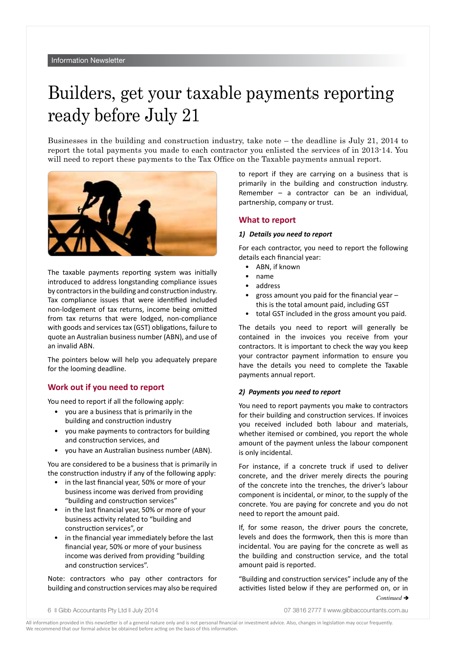# Builders, get your taxable payments reporting ready before July 21

Businesses in the building and construction industry, take note – the deadline is July 21, 2014 to report the total payments you made to each contractor you enlisted the services of in 2013-14. You will need to report these payments to the Tax Office on the Taxable payments annual report.



The taxable payments reporting system was initially introduced to address longstanding compliance issues by contractors in the building and construction industry. Tax compliance issues that were identified included non-lodgement of tax returns, income being omitted from tax returns that were lodged, non-compliance with goods and services tax (GST) obligations, failure to quote an Australian business number (ABN), and use of an invalid ABN.

The pointers below will help you adequately prepare for the looming deadline.

## **Work out if you need to report**

You need to report if all the following apply:

- you are a business that is primarily in the building and construction industry
- you make payments to contractors for building and construction services, and
- you have an Australian business number (ABN).

You are considered to be a business that is primarily in the construction industry if any of the following apply:

- in the last financial year, 50% or more of your business income was derived from providing "building and construction services"
- in the last financial year, 50% or more of your business activity related to "building and construction services", or
- in the financial year immediately before the last financial year, 50% or more of your business income was derived from providing "building and construction services".

Note: contractors who pay other contractors for building and construction services may also be required to report if they are carrying on a business that is primarily in the building and construction industry. Remember – a contractor can be an individual, partnership, company or trust.

## **What to report**

#### *1) Details you need to report*

For each contractor, you need to report the following details each financial year:

- ABN, if known
- name
- address
- gross amount you paid for the financial year  $$ this is the total amount paid, including GST
- total GST included in the gross amount you paid.

The details you need to report will generally be contained in the invoices you receive from your contractors. It is important to check the way you keep your contractor payment information to ensure you have the details you need to complete the Taxable payments annual report.

## *2) Payments you need to report*

You need to report payments you make to contractors for their building and construction services. If invoices you received included both labour and materials, whether itemised or combined, you report the whole amount of the payment unless the labour component is only incidental.

For instance, if a concrete truck if used to deliver concrete, and the driver merely directs the pouring of the concrete into the trenches, the driver's labour component is incidental, or minor, to the supply of the concrete. You are paying for concrete and you do not need to report the amount paid.

If, for some reason, the driver pours the concrete, levels and does the formwork, then this is more than incidental. You are paying for the concrete as well as the building and construction service, and the total amount paid is reported.

"Building and construction services" include any of the activities listed below if they are performed on, or in *Continued* è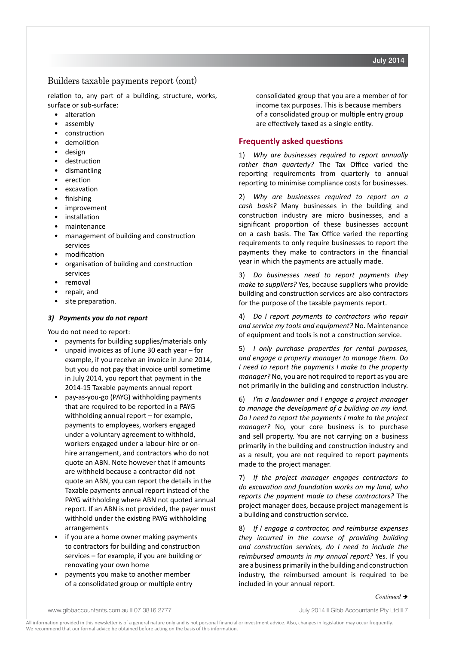# Builders taxable payments report (cont)

relation to, any part of a building, structure, works, surface or sub-surface:

- alteration
- assembly
- construction
- demolition
- design
- destruction
- dismantling
- erection
- excavation
- finishing
- improvement
- **installation**
- maintenance
- management of building and construction services
- modification
- organisation of building and construction services
- removal
- repair, and
- site preparation.

## *3) Payments you do not report*

You do not need to report:

- payments for building supplies/materials only
- unpaid invoices as of June 30 each year  $-$  for example, if you receive an invoice in June 2014, but you do not pay that invoice until sometime in July 2014, you report that payment in the 2014-15 Taxable payments annual report
- pay-as-you-go (PAYG) withholding payments that are required to be reported in a PAYG withholding annual report – for example, payments to employees, workers engaged under a voluntary agreement to withhold, workers engaged under a labour-hire or onhire arrangement, and contractors who do not quote an ABN. Note however that if amounts are withheld because a contractor did not quote an ABN, you can report the details in the Taxable payments annual report instead of the PAYG withholding where ABN not quoted annual report. If an ABN is not provided, the payer must withhold under the existing PAYG withholding arrangements
- if you are a home owner making payments to contractors for building and construction services – for example, if you are building or renovating your own home
- payments you make to another member of a consolidated group or multiple entry

consolidated group that you are a member of for income tax purposes. This is because members of a consolidated group or multiple entry group are effectively taxed as a single entity.

## **Frequently asked questions**

1) *Why are businesses required to report annually rather than quarterly?* The Tax Office varied the reporting requirements from quarterly to annual reporting to minimise compliance costs for businesses.

2) *Why are businesses required to report on a cash basis?* Many businesses in the building and construction industry are micro businesses, and a significant proportion of these businesses account on a cash basis. The Tax Office varied the reporting requirements to only require businesses to report the payments they make to contractors in the financial year in which the payments are actually made.

3) *Do businesses need to report payments they make to suppliers?* Yes, because suppliers who provide building and construction services are also contractors for the purpose of the taxable payments report.

4) *Do I report payments to contractors who repair and service my tools and equipment?* No. Maintenance of equipment and tools is not a construction service.

5) *I only purchase properties for rental purposes, and engage a property manager to manage them. Do I need to report the payments I make to the property manager?* No, you are not required to report as you are not primarily in the building and construction industry.

6) *I'm a landowner and I engage a project manager to manage the development of a building on my land. Do I need to report the payments I make to the project manager?* No, your core business is to purchase and sell property. You are not carrying on a business primarily in the building and construction industry and as a result, you are not required to report payments made to the project manager.

7) *If the project manager engages contractors to do excavation and foundation works on my land, who reports the payment made to these contractors?* The project manager does, because project management is a building and construction service.

8) *If I engage a contractor, and reimburse expenses they incurred in the course of providing building and construction services, do I need to include the reimbursed amounts in my annual report?* Yes. If you are a business primarily in the building and construction industry, the reimbursed amount is required to be included in your annual report.

July 2014

www.gibbaccountants.com.au n 07 3816 2777 July 2014 n Gibb Accountants Pty Ltd n 7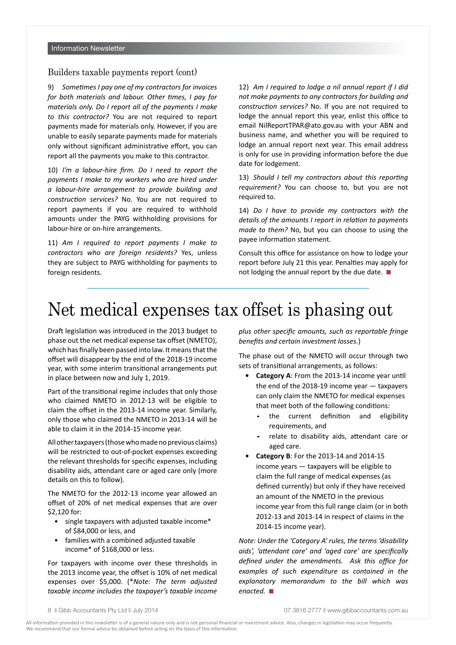## Builders taxable payments report (cont)

9) *Sometimes I pay one of my contractors for invoices for both materials and labour. Other times, I pay for materials only. Do I report all of the payments I make to this contractor?* You are not required to report payments made for materials only. However, if you are unable to easily separate payments made for materials only without significant administrative effort, you can report all the payments you make to this contractor.

10) *I'm a labour-hire firm. Do I need to report the payments I make to my workers who are hired under a labour-hire arrangement to provide building and construction services?* No. You are not required to report payments if you are required to withhold amounts under the PAYG withholding provisions for labour-hire or on-hire arrangements.

11) *Am I required to report payments I make to contractors who are foreign residents?* Yes, unless they are subject to PAYG withholding for payments to foreign residents.

12) *Am I required to lodge a nil annual report if I did not make payments to any contractors for building and construction services?* No. If you are not required to lodge the annual report this year, enlist this office to email NilReportTPAR@ato.gov.au with your ABN and business name, and whether you will be required to lodge an annual report next year. This email address is only for use in providing information before the due date for lodgement.

13) *Should I tell my contractors about this reporting requirement?* You can choose to, but you are not required to.

14) *Do I have to provide my contractors with the details of the amounts I report in relation to payments made to them?* No, but you can choose to using the payee information statement.

Consult this office for assistance on how to lodge your report before July 21 this year. Penalties may apply for not lodging the annual report by the due date.  $\blacksquare$ 

# Net medical expenses tax offset is phasing out

Draft legislation was introduced in the 2013 budget to phase out the net medical expense tax offset (NMETO), which has finally been passed into law. It means that the offset will disappear by the end of the 2018-19 income year, with some interim transitional arrangements put in place between now and July 1, 2019.

Part of the transitional regime includes that only those who claimed NMETO in 2012-13 will be eligible to claim the offset in the 2013-14 income year. Similarly, only those who claimed the NMETO in 2013-14 will be able to claim it in the 2014-15 income year.

All other taxpayers (those who made no previous claims) will be restricted to out-of-pocket expenses exceeding the relevant thresholds for specific expenses, including disability aids, attendant care or aged care only (more details on this to follow).

The NMETO for the 2012-13 income year allowed an offset of 20% of net medical expenses that are over \$2,120 for:

- single taxpayers with adjusted taxable income\* of \$84,000 or less, and
- families with a combined adjusted taxable income\* of \$168,000 or less.

For taxpayers with income over these thresholds in the 2013 income year, the offset is 10% of net medical expenses over \$5,000. (\**Note: The term adjusted taxable income includes the taxpayer's taxable income*  *plus other specific amounts, such as reportable fringe benefits and certain investment losses.*)

The phase out of the NMETO will occur through two sets of transitional arrangements, as follows:

- **• Category A**: From the 2013-14 income year until the end of the 2018-19 income year — taxpayers can only claim the NMETO for medical expenses that meet both of the following conditions:
	- the current definition and eligibility requirements, and
	- relate to disability aids, attendant care or aged care.
- **• Category B**: For the 2013-14 and 2014-15 income years — taxpayers will be eligible to claim the full range of medical expenses (as defined currently) but only if they have received an amount of the NMETO in the previous income year from this full range claim (or in both 2012-13 and 2013-14 in respect of claims in the 2014-15 income year).

*Note: Under the 'Category A' rules, the terms 'disability aids', 'attendant care' and 'aged care' are specifically defined under the amendments. Ask this office for examples of such expenditure as contained in the explanatory memorandum to the bill which was enacted.* ■

<sup>8</sup> **Community** Bibb Accountants Pty Ltd **N** July 2014 **07 3816 2777 N** www.qibbaccountants.com.au